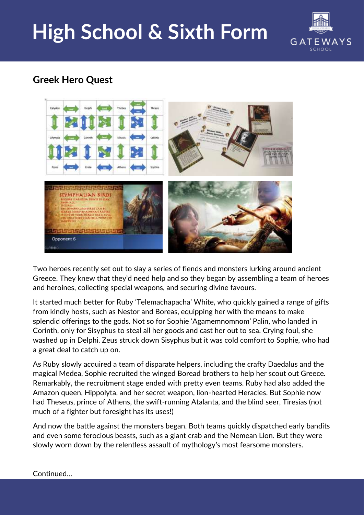## **High School & Sixth Form**



## **Greek Hero Quest**



Two heroes recently set out to slay a series of fiends and monsters lurking around ancient Greece. They knew that they'd need help and so they began by assembling a team of heroes and heroines, collecting special weapons, and securing divine favours.

It started much better for Ruby 'Telemachapacha' White, who quickly gained a range of gifts from kindly hosts, such as Nestor and Boreas, equipping her with the means to make splendid offerings to the gods. Not so for Sophie 'Agamemnomnom' Palin, who landed in Corinth, only for Sisyphus to steal all her goods and cast her out to sea. Crying foul, she washed up in Delphi. Zeus struck down Sisyphus but it was cold comfort to Sophie, who had a great deal to catch up on.

As Ruby slowly acquired a team of disparate helpers, including the crafty Daedalus and the magical Medea, Sophie recruited the winged Boread brothers to help her scout out Greece. Remarkably, the recruitment stage ended with pretty even teams. Ruby had also added the Amazon queen, Hippolyta, and her secret weapon, lion-hearted Heracles. But Sophie now had Theseus, prince of Athens, the swift-running Atalanta, and the blind seer, Tiresias (not much of a fighter but foresight has its uses!)

And now the battle against the monsters began. Both teams quickly dispatched early bandits and even some ferocious beasts, such as a giant crab and the Nemean Lion. But they were slowly worn down by the relentless assault of mythology's most fearsome monsters.

## Continued…